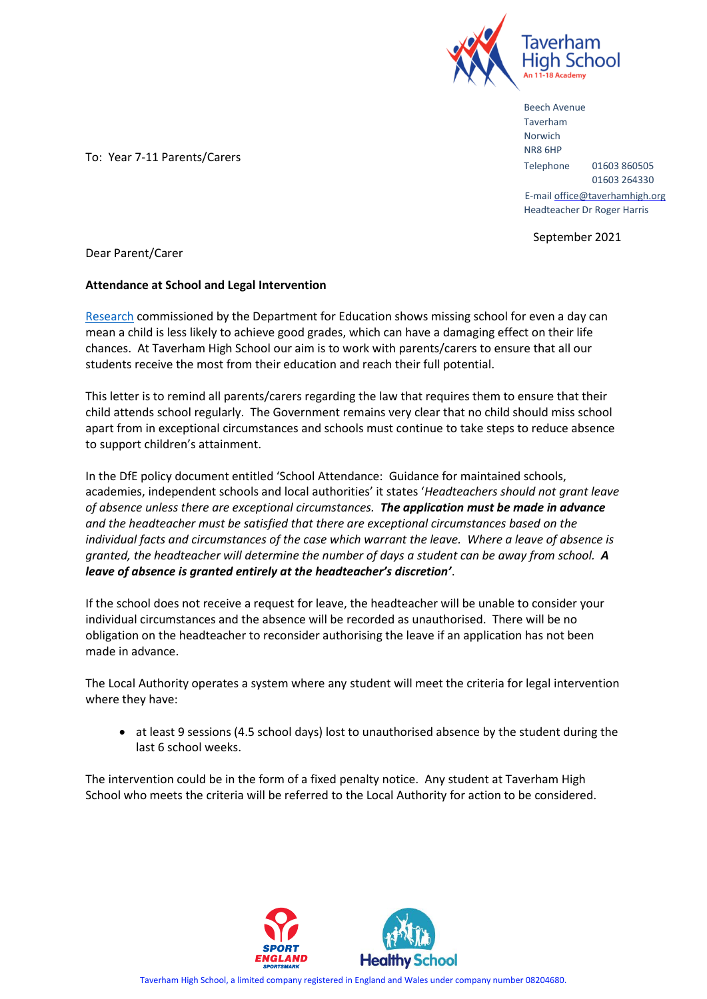

Beech Avenue Taverham Norwich NR8 6HP Telephone 01603 860505 01603 264330 E-mail office@taverhamhigh.org Headteacher Dr Roger Harris

September 2021

To: Year 7-11 Parents/Carers

Dear Parent/Carer

## **Attendance at School and Legal Intervention**

[Research](https://www.gov.uk/government/publications/absence-and-attainment-at-key-stages-2-and-4-2013-to-2014) commissioned by the Department for Education shows missing school for even a day can mean a child is less likely to achieve good grades, which can have a damaging effect on their life chances. At Taverham High School our aim is to work with parents/carers to ensure that all our students receive the most from their education and reach their full potential.

This letter is to remind all parents/carers regarding the law that requires them to ensure that their child attends school regularly. The Government remains very clear that no child should miss school apart from in exceptional circumstances and schools must continue to take steps to reduce absence to support children's attainment.

In the DfE policy document entitled 'School Attendance: Guidance for maintained schools, academies, independent schools and local authorities' it states '*Headteachers should not grant leave of absence unless there are exceptional circumstances. The application must be made in advance and the headteacher must be satisfied that there are exceptional circumstances based on the individual facts and circumstances of the case which warrant the leave. Where a leave of absence is granted, the headteacher will determine the number of days a student can be away from school. A leave of absence is granted entirely at the headteacher's discretion'*.

If the school does not receive a request for leave, the headteacher will be unable to consider your individual circumstances and the absence will be recorded as unauthorised. There will be no obligation on the headteacher to reconsider authorising the leave if an application has not been made in advance.

The Local Authority operates a system where any student will meet the criteria for legal intervention where they have:

• at least 9 sessions (4.5 school days) lost to unauthorised absence by the student during the last 6 school weeks.

The intervention could be in the form of a fixed penalty notice. Any student at Taverham High School who meets the criteria will be referred to the Local Authority for action to be considered.